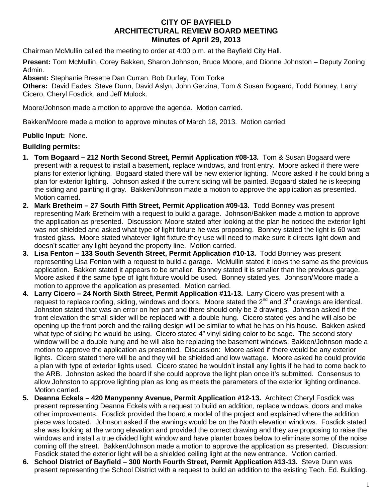## **CITY OF BAYFIELD ARCHITECTURAL REVIEW BOARD MEETING Minutes of April 29, 2013**

Chairman McMullin called the meeting to order at 4:00 p.m. at the Bayfield City Hall.

**Present:** Tom McMullin, Corey Bakken, Sharon Johnson, Bruce Moore, and Dionne Johnston – Deputy Zoning Admin.

**Absent:** Stephanie Bresette Dan Curran, Bob Durfey, Tom Torke

**Others:** David Eades, Steve Dunn, David Aslyn, John Gerzina, Tom & Susan Bogaard, Todd Bonney, Larry Cicero, Cheryl Fosdick, and Jeff Mulock.

Moore/Johnson made a motion to approve the agenda. Motion carried.

Bakken/Moore made a motion to approve minutes of March 18, 2013. Motion carried.

## **Public Input:** None.

## **Building permits:**

- **1. Tom Bogaard – 212 North Second Street, Permit Application #08-13.** Tom & Susan Bogaard were present with a request to install a basement, replace windows, and front entry. Moore asked if there were plans for exterior lighting. Bogaard stated there will be new exterior lighting. Moore asked if he could bring a plan for exterior lighting. Johnson asked if the current siding will be painted. Bogaard stated he is keeping the siding and painting it gray. Bakken/Johnson made a motion to approve the application as presented. Motion carried**.**
- **2. Mark Bretheim – 27 South Fifth Street, Permit Application #09-13.** Todd Bonney was present representing Mark Bretheim with a request to build a garage. Johnson/Bakken made a motion to approve the application as presented. Discussion: Moore stated after looking at the plan he noticed the exterior light was not shielded and asked what type of light fixture he was proposing. Bonney stated the light is 60 watt frosted glass. Moore stated whatever light fixture they use will need to make sure it directs light down and doesn't scatter any light beyond the property line. Motion carried.
- **3. Lisa Fenton – 133 South Seventh Street, Permit Application #10-13.** Todd Bonney was present representing Lisa Fenton with a request to build a garage. McMullin stated it looks the same as the previous application. Bakken stated it appears to be smaller. Bonney stated it is smaller than the previous garage. Moore asked if the same type of light fixture would be used. Bonney stated yes. Johnson/Moore made a motion to approve the application as presented. Motion carried.
- **4. Larry Cicero – 24 North Sixth Street, Permit Application #11-13.** Larry Cicero was present with a request to replace roofing, siding, windows and doors. Moore stated the  $2^{nd}$  and  $3^{rd}$  drawings are identical. Johnston stated that was an error on her part and there should only be 2 drawings. Johnson asked if the front elevation the small slider will be replaced with a double hung. Cicero stated yes and he will also be opening up the front porch and the railing design will be similar to what he has on his house. Bakken asked what type of siding he would be using. Cicero stated 4" vinyl siding color to be sage. The second story window will be a double hung and he will also be replacing the basement windows. Bakken/Johnson made a motion to approve the application as presented. Discussion: Moore asked if there would be any exterior lights. Cicero stated there will be and they will be shielded and low wattage. Moore asked he could provide a plan with type of exterior lights used. Cicero stated he wouldn't install any lights if he had to come back to the ARB. Johnston asked the board if she could approve the light plan once it's submitted. Consensus to allow Johnston to approve lighting plan as long as meets the parameters of the exterior lighting ordinance. Motion carried.
- **5. Deanna Eckels – 420 Manypenny Avenue, Permit Application #12-13.** Architect Cheryl Fosdick was present representing Deanna Eckels with a request to build an addition, replace windows, doors and make other improvements. Fosdick provided the board a model of the project and explained where the addition piece was located. Johnson asked if the awnings would be on the North elevation windows. Fosdick stated she was looking at the wrong elevation and provided the correct drawing and they are proposing to raise the windows and install a true divided light window and have planter boxes below to eliminate some of the noise coming off the street. Bakken/Johnson made a motion to approve the application as presented. Discussion: Fosdick stated the exterior light will be a shielded ceiling light at the new entrance. Motion carried.
- **6. School District of Bayfield – 300 North Fourth Street, Permit Application #13-13.** Steve Dunn was present representing the School District with a request to build an addition to the existing Tech. Ed. Building.